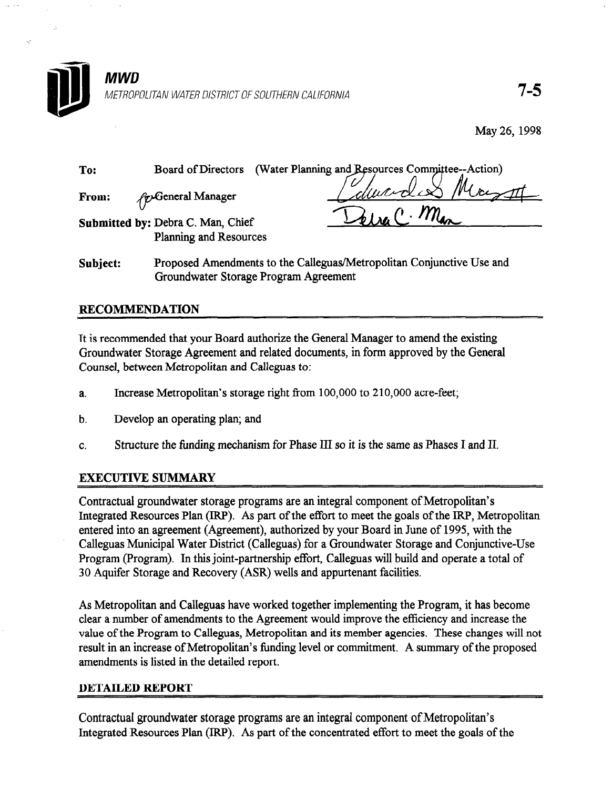

May 26, 1998

| To:                                                         | Board of Directors        | (Water Planning and Resources Committee--Action) |
|-------------------------------------------------------------|---------------------------|--------------------------------------------------|
| From:                                                       | <i>fo</i> General Manager | Edward & Marsott                                 |
| Submitted by: Debra C. Man, Chief<br>Planning and Resources |                           | Delva C. Man                                     |

Subject: Proposed Amendments to the Calleguas/Metropolitan Conjunctive Use and Groundwater Storage Program Agreement

## RECOMMENDATION

It is recommended that your Board authorize the General Manager to amend the existing Groundwater Storage Agreement and related documents, in form approved by the General Counsel, between Metropolitan and Calleguas to:

- a. Increase Metropolitan's storage right from 100,000 to 210,000 acre-feet;
- b. Develop an operating plan; and
- C. Structure the funding mechanism for Phase III so it is the same as Phases I and II.

# $\mathbb{E} \left[ \mathbb{E} \left[ \mathbb{E} \left[ \mathbb{E} \left[ \mathbb{E} \left[ \mathbb{E} \left[ \mathbb{E} \left[ \mathbb{E} \left[ \mathbb{E} \left[ \mathbb{E} \left[ \mathbb{E} \left[ \mathbb{E} \left[ \mathbb{E} \left[ \mathbb{E} \left[ \mathbb{E} \left[ \mathbb{E} \left[ \mathbb{E} \left[ \mathbb{E} \left[ \mathbb{E} \left[ \mathbb{E} \left[ \mathbb{E} \left[ \mathbb{E} \left[ \mathbb{E} \left[ \mathbb{E} \left[ \mathbb{$

Contractual groundwater storage programs are an integral component of Metropolitan's Contractus Component of Me<br>Contractus are an integral component of Metropolitan's Component of Metropolitan's Component of Metropolitan's Contractual groundwater storage programs are an integral component of Metropolitan s Integrated Resources Plan (IRP). As part of the effort to meet the goals of the IRP, Metropolitan entered into an agreement (Agreement), authorized by your Board in June of 1995, with the Calleguas Municipal Water District (Calleguas) for a Groundwater Storage and Conjunctive-Use Program (Program). In this joint-partnership effort, Calleguas will build and operate a total of 30 Aquifer Storage and Recovery (ASR) wells and appurtenant facilities.

As Metropolitan and Calleguas have worked together implementing the Program, it has become clear a number of amendments to the Agreement would improve the efficiency and increase the value of the Program to Calleguas, Metropolitan and its member agencies. These changes will not result in an increase of Metropolitan's funding level or commitment. A summary of the proposed amendments is listed in the detailed report.

### **DETAILED REPORT**

Contractual groundwater storage programs are an integral component of Metropolitan's Integrated Resources Plan (IRP). As part of the concentrated effort to meet the goals of the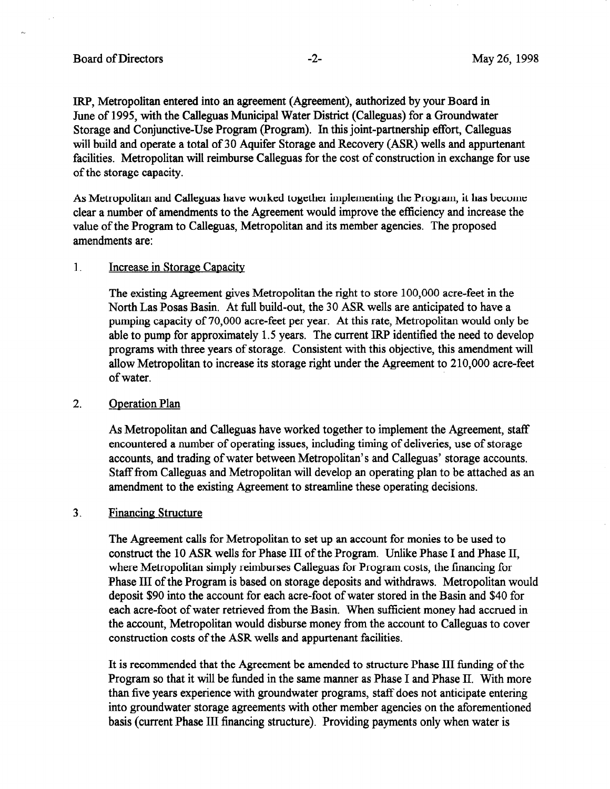IRP, Metropolitan entered into an agreement (Agreement), authorized by your Board in June of 1995, with the Calleguas Municipal Water District (Calleguas) for a Groundwater Storage and Conjunctive-Use Program (Program). In this joint-partnership effort, Calleguas will build and operate a total of 30 Aquifer Storage and Recovery (ASR) wells and appurtenant facilities. Metropolitan will reimburse Calleguas for the cost of construction in exchange for use of the storage capacity.

As Metropolitan and Calleguas have worked together implementing the Program, it has become clear a number of amendments to the Agreement would improve the efficiency and increase the value of the Program to Calleguas, Metropolitan and its member agencies. The proposed amendments are:

#### 1. Increase in Storage Capacity

The existing Agreement gives Metropolitan the right to store 100,000 acre-feet in the North Las Posas Basin. At full build-out, the 30 ASR wells are anticipated to have a pumping capacity of 70,000 acre-feet per year. At this rate, Metropolitan would only be able to pump for approximately 1.5 years. The current IRP identified the need to develop programs with three years of storage. Consistent with this objective, this amendment will allow Metropolitan to increase its storage right under the Agreement to 2 10,000 acre-feet of water.

#### 2. Oneration Plan

As Metropolitan and Calleguas have worked together to implement the Agreement, staff encountered a number of operating issues, including timing of deliveries, use of storage accounts, and trading of water between Metropolitan's and Calleguas' storage accounts. Staff from Calleguas and Metropolitan will develop an operating plan to be attached as an amendment to the existing Agreement to streamline these operating decisions.

#### 3. Financing Structure

The Agreement calls for Metropolitan to set up an account for monies to be used to construct the 10 ASR wells for Phase III of the Program. Unlike Phase I and Phase II, where Metropolitan simply reimburses Calleguas for Program costs, the financing for Phase III of the Program is based on storage deposits and withdraws. Metropolitan would deposit \$90 into the account for each acre-foot of water stored in the Basin and \$40 for each acre-foot of water retrieved from the Basin. When sufficient money had accrued in the account, Metropolitan would disburse money from the account to Calleguas to cover construction costs of the ASR wells and appurtenant facilities.

It is recommended that the Agreement be amended to structure Phase III funding of the Program so that it will be funded in the same manner as Phase I and Phase II. With more than five years experience with groundwater programs, staff does not anticipate entering into groundwater storage agreements with other member agencies on the aforementioned basis (current Phase III financing structure). Providing payments only when water is